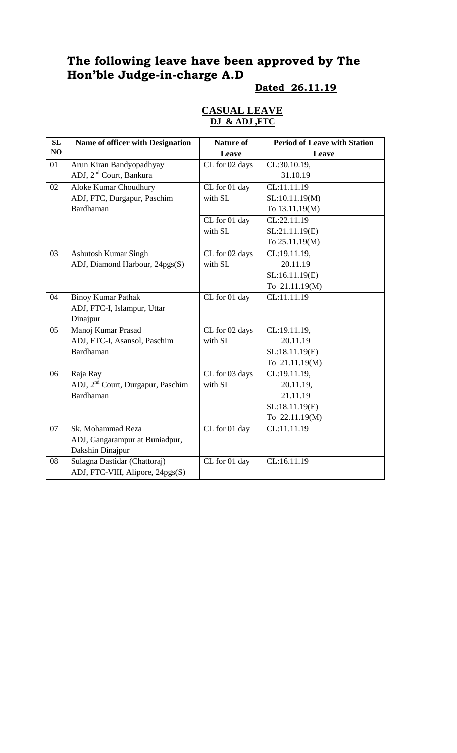# **The following leave have been approved by The Hon'ble Judge-in-charge A.D**

# **Dated 26.11.19**

#### **CASUAL LEAVE DJ & ADJ ,FTC**

| SL | <b>Name of officer with Designation</b>       | <b>Nature of</b> | <b>Period of Leave with Station</b> |
|----|-----------------------------------------------|------------------|-------------------------------------|
| NO |                                               | Leave            | Leave                               |
| 01 | Arun Kiran Bandyopadhyay                      | CL for 02 days   | CL:30.10.19,                        |
|    | ADJ, 2 <sup>nd</sup> Court, Bankura           |                  | 31.10.19                            |
| 02 | <b>Aloke Kumar Choudhury</b>                  | CL for 01 day    | CL:11.11.19                         |
|    | ADJ, FTC, Durgapur, Paschim                   | with SL          | SL:10.11.19(M)                      |
|    | <b>Bardhaman</b>                              |                  | To 13.11.19(M)                      |
|    |                                               | CL for 01 day    | CL:22.11.19                         |
|    |                                               | with SL          | SL:21.11.19(E)                      |
|    |                                               |                  | To 25.11.19(M)                      |
| 03 | Ashutosh Kumar Singh                          | CL for 02 days   | CL:19.11.19,                        |
|    | ADJ, Diamond Harbour, 24pgs(S)                | with SL          | 20.11.19                            |
|    |                                               |                  | SL:16.11.19(E)                      |
|    |                                               |                  | To 21.11.19(M)                      |
| 04 | <b>Binoy Kumar Pathak</b>                     | CL for 01 day    | CL:11.11.19                         |
|    | ADJ, FTC-I, Islampur, Uttar                   |                  |                                     |
|    | Dinajpur                                      |                  |                                     |
| 05 | Manoj Kumar Prasad                            | CL for 02 days   | CL:19.11.19,                        |
|    | ADJ, FTC-I, Asansol, Paschim                  | with SL          | 20.11.19                            |
|    | Bardhaman                                     |                  | SL:18.11.19(E)                      |
|    |                                               |                  | To 21.11.19(M)                      |
| 06 | Raja Ray                                      | CL for 03 days   | CL:19.11.19,                        |
|    | ADJ, 2 <sup>nd</sup> Court, Durgapur, Paschim | with SL          | 20.11.19,                           |
|    | Bardhaman                                     |                  | 21.11.19                            |
|    |                                               |                  | SL:18.11.19(E)                      |
|    |                                               |                  | To 22.11.19(M)                      |
| 07 | Sk. Mohammad Reza                             | CL for 01 day    | CL:11.11.19                         |
|    | ADJ, Gangarampur at Buniadpur,                |                  |                                     |
|    | Dakshin Dinajpur                              |                  |                                     |
| 08 | Sulagna Dastidar (Chattoraj)                  | CL for 01 day    | CL:16.11.19                         |
|    | ADJ, FTC-VIII, Alipore, 24pgs(S)              |                  |                                     |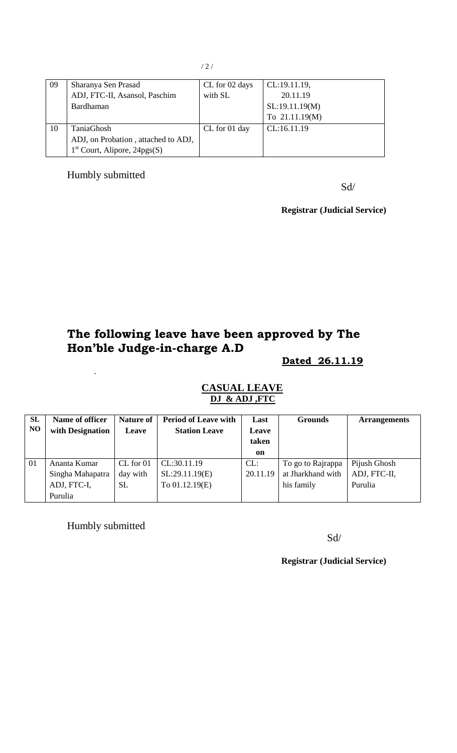| 09 | Sharanya Sen Prasad                 | CL for 02 days | CL:19.11.19,   |
|----|-------------------------------------|----------------|----------------|
|    | ADJ, FTC-II, Asansol, Paschim       | with SL        | 20.11.19       |
|    | Bardhaman                           |                | SL:19.11.19(M) |
|    |                                     |                | To 21.11.19(M) |
| 10 | TaniaGhosh                          | CL for 01 day  | CL:16.11.19    |
|    | ADJ, on Probation, attached to ADJ, |                |                |
|    | $1st$ Court, Alipore, 24pgs(S)      |                |                |

## Humbly submitted

Sd/

**Registrar (Judicial Service)**

# **The following leave have been approved by The Hon'ble Judge-in-charge A.D**

**Dated 26.11.19**

| SL<br>N <sub>O</sub> | Name of officer<br>with Designation | <b>Nature of</b><br><b>Leave</b> | <b>Period of Leave with</b><br><b>Station Leave</b> | Last<br><b>Leave</b><br>taken<br>on | <b>Grounds</b>    | <b>Arrangements</b> |
|----------------------|-------------------------------------|----------------------------------|-----------------------------------------------------|-------------------------------------|-------------------|---------------------|
| 01                   | Ananta Kumar                        | CL for 01                        | CL:30.11.19                                         | CL:                                 | To go to Rajrappa | Pijush Ghosh        |
|                      | Singha Mahapatra                    | day with                         | SL:29.11.19(E)                                      | 20.11.19                            | at Jharkhand with | ADJ, FTC-II,        |
|                      | ADJ, FTC-I,                         | <b>SL</b>                        | To 01.12.19(E)                                      |                                     | his family        | Purulia             |
|                      | Purulia                             |                                  |                                                     |                                     |                   |                     |

#### **CASUAL LEAVE DJ & ADJ ,FTC**

Humbly submitted

.

Sd/

**Registrar (Judicial Service)**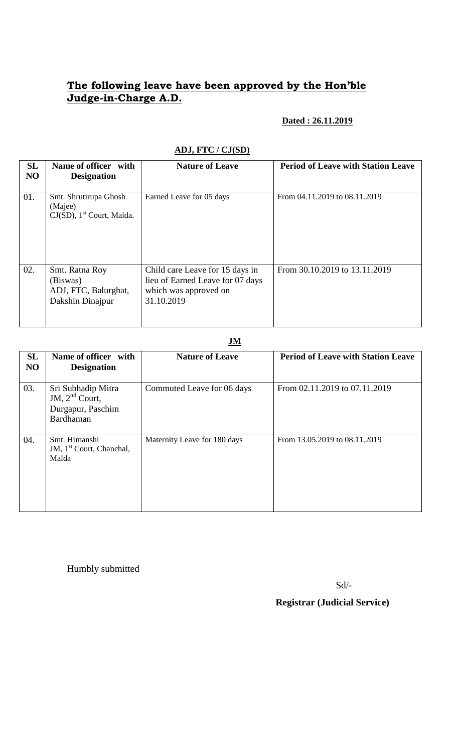# **The following leave have been approved by the Hon'ble Judge-in-Charge A.D.**

#### **Dated : 26.11.2019**

| SL<br>NO | Name of officer with<br><b>Designation</b>                                   | <b>Nature of Leave</b>                                                                                     | <b>Period of Leave with Station Leave</b> |
|----------|------------------------------------------------------------------------------|------------------------------------------------------------------------------------------------------------|-------------------------------------------|
| 01.      | Smt. Shrutirupa Ghosh<br>(Majee)<br>$CJ(SD)$ , 1 <sup>st</sup> Court, Malda. | Earned Leave for 05 days                                                                                   | From 04.11.2019 to 08.11.2019             |
| 02.      | Smt. Ratna Roy<br>(Biswas)<br>ADJ, FTC, Balurghat,<br>Dakshin Dinajpur       | Child care Leave for 15 days in<br>lieu of Earned Leave for 07 days<br>which was approved on<br>31.10.2019 | From 30.10.2019 to 13.11.2019             |

## **ADJ, FTC / CJ(SD)**

**JM**

| SL<br>N <sub>O</sub> | Name of officer with<br><b>Designation</b>                               | <b>Nature of Leave</b>       | <b>Period of Leave with Station Leave</b> |
|----------------------|--------------------------------------------------------------------------|------------------------------|-------------------------------------------|
| 03.                  | Sri Subhadip Mitra<br>JM, $2nd$ Court,<br>Durgapur, Paschim<br>Bardhaman | Commuted Leave for 06 days   | From 02.11.2019 to 07.11.2019             |
| 04.                  | Smt. Himanshi<br>JM, 1 <sup>st</sup> Court, Chanchal,<br>Malda           | Maternity Leave for 180 days | From 13.05.2019 to 08.11.2019             |

Humbly submitted

Sd/-

 **Registrar (Judicial Service)**